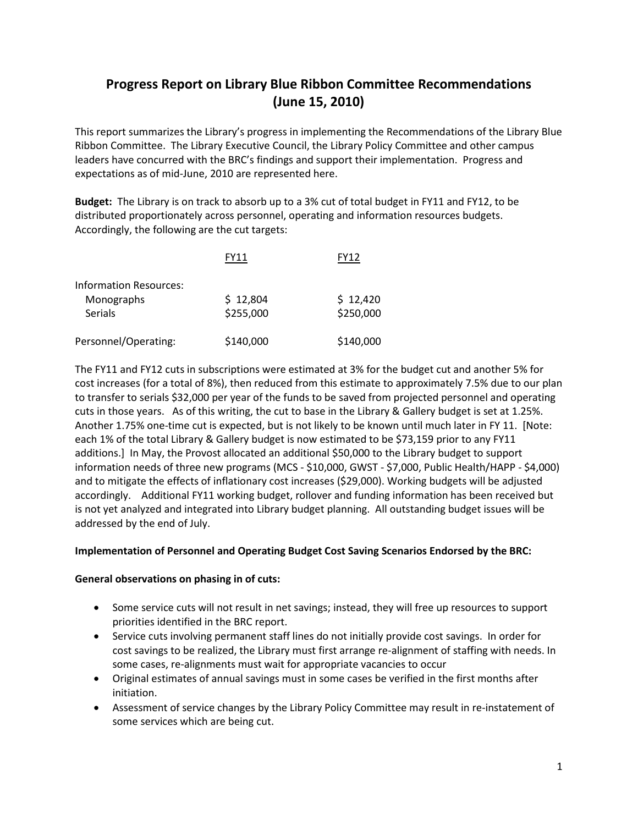# **Progress Report on Library Blue Ribbon Committee Recommendations (June 15, 2010)**

This report summarizes the Library's progress in implementing the Recommendations of the Library Blue Ribbon Committee. The Library Executive Council, the Library Policy Committee and other campus leaders have concurred with the BRC's findings and support their implementation. Progress and expectations as of mid-June, 2010 are represented here.

**Budget:** The Library is on track to absorb up to a 3% cut of total budget in FY11 and FY12, to be distributed proportionately across personnel, operating and information resources budgets. Accordingly, the following are the cut targets:

|                        | FY11      | FY12      |
|------------------------|-----------|-----------|
| Information Resources: |           |           |
| Monographs             | \$12,804  | \$12,420  |
| Serials                | \$255,000 | \$250,000 |
| Personnel/Operating:   | \$140,000 | \$140,000 |

The FY11 and FY12 cuts in subscriptions were estimated at 3% for the budget cut and another 5% for cost increases (for a total of 8%), then reduced from this estimate to approximately 7.5% due to our plan to transfer to serials \$32,000 per year of the funds to be saved from projected personnel and operating cuts in those years. As of this writing, the cut to base in the Library & Gallery budget is set at 1.25%. Another 1.75% one-time cut is expected, but is not likely to be known until much later in FY 11. [Note: each 1% of the total Library & Gallery budget is now estimated to be \$73,159 prior to any FY11 additions.] In May, the Provost allocated an additional \$50,000 to the Library budget to support information needs of three new programs (MCS - \$10,000, GWST - \$7,000, Public Health/HAPP - \$4,000) and to mitigate the effects of inflationary cost increases (\$29,000). Working budgets will be adjusted accordingly. Additional FY11 working budget, rollover and funding information has been received but is not yet analyzed and integrated into Library budget planning. All outstanding budget issues will be addressed by the end of July.

## **Implementation of Personnel and Operating Budget Cost Saving Scenarios Endorsed by the BRC:**

## **General observations on phasing in of cuts:**

- Some service cuts will not result in net savings; instead, they will free up resources to support priorities identified in the BRC report.
- Service cuts involving permanent staff lines do not initially provide cost savings. In order for cost savings to be realized, the Library must first arrange re-alignment of staffing with needs. In some cases, re-alignments must wait for appropriate vacancies to occur
- Original estimates of annual savings must in some cases be verified in the first months after initiation.
- Assessment of service changes by the Library Policy Committee may result in re-instatement of some services which are being cut.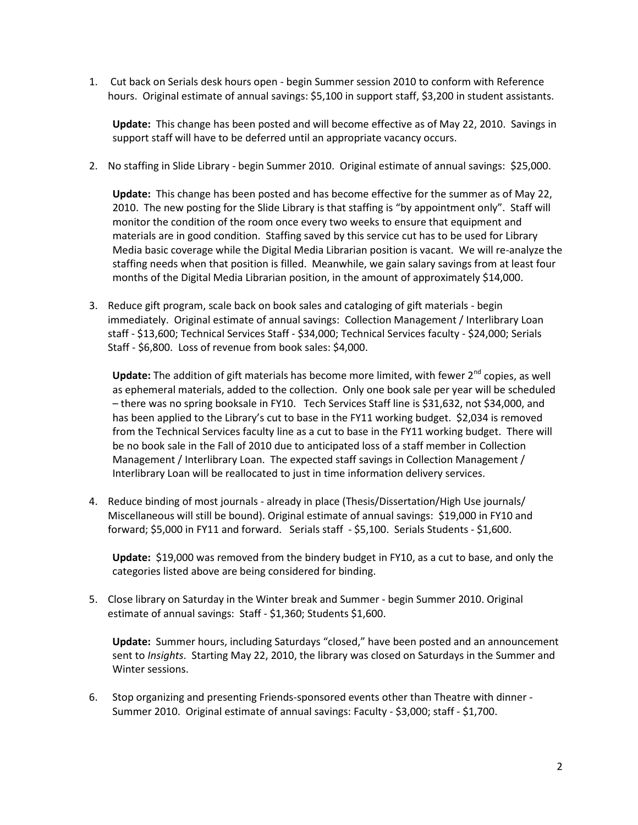1. Cut back on Serials desk hours open - begin Summer session 2010 to conform with Reference hours. Original estimate of annual savings: \$5,100 in support staff, \$3,200 in student assistants.

**Update:** This change has been posted and will become effective as of May 22, 2010. Savings in support staff will have to be deferred until an appropriate vacancy occurs.

2. No staffing in Slide Library - begin Summer 2010. Original estimate of annual savings: \$25,000.

**Update:** This change has been posted and has become effective for the summer as of May 22, 2010. The new posting for the Slide Library is that staffing is "by appointment only". Staff will monitor the condition of the room once every two weeks to ensure that equipment and materials are in good condition. Staffing saved by this service cut has to be used for Library Media basic coverage while the Digital Media Librarian position is vacant. We will re-analyze the staffing needs when that position is filled. Meanwhile, we gain salary savings from at least four months of the Digital Media Librarian position, in the amount of approximately \$14,000.

3. Reduce gift program, scale back on book sales and cataloging of gift materials - begin immediately. Original estimate of annual savings: Collection Management / Interlibrary Loan staff - \$13,600; Technical Services Staff - \$34,000; Technical Services faculty - \$24,000; Serials Staff - \$6,800. Loss of revenue from book sales: \$4,000.

**Update:** The addition of gift materials has become more limited, with fewer 2<sup>nd</sup> copies, as well as ephemeral materials, added to the collection. Only one book sale per year will be scheduled – there was no spring booksale in FY10. Tech Services Staff line is \$31,632, not \$34,000, and has been applied to the Library's cut to base in the FY11 working budget. \$2,034 is removed from the Technical Services faculty line as a cut to base in the FY11 working budget. There will be no book sale in the Fall of 2010 due to anticipated loss of a staff member in Collection Management / Interlibrary Loan. The expected staff savings in Collection Management / Interlibrary Loan will be reallocated to just in time information delivery services.

4. Reduce binding of most journals - already in place (Thesis/Dissertation/High Use journals/ Miscellaneous will still be bound). Original estimate of annual savings: \$19,000 in FY10 and forward; \$5,000 in FY11 and forward. Serials staff - \$5,100. Serials Students - \$1,600.

**Update:** \$19,000 was removed from the bindery budget in FY10, as a cut to base, and only the categories listed above are being considered for binding.

5. Close library on Saturday in the Winter break and Summer - begin Summer 2010. Original estimate of annual savings: Staff - \$1,360; Students \$1,600.

**Update:** Summer hours, including Saturdays "closed," have been posted and an announcement sent to *Insights*. Starting May 22, 2010, the library was closed on Saturdays in the Summer and Winter sessions.

6. Stop organizing and presenting Friends-sponsored events other than Theatre with dinner - Summer 2010. Original estimate of annual savings: Faculty - \$3,000; staff - \$1,700.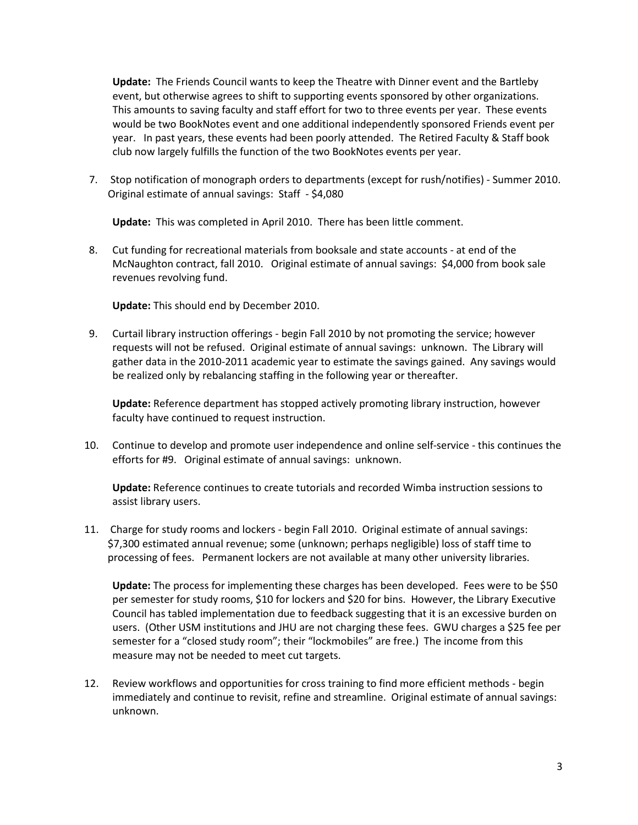**Update:** The Friends Council wants to keep the Theatre with Dinner event and the Bartleby event, but otherwise agrees to shift to supporting events sponsored by other organizations. This amounts to saving faculty and staff effort for two to three events per year. These events would be two BookNotes event and one additional independently sponsored Friends event per year. In past years, these events had been poorly attended. The Retired Faculty & Staff book club now largely fulfills the function of the two BookNotes events per year.

7. Stop notification of monograph orders to departments (except for rush/notifies) - Summer 2010. Original estimate of annual savings: Staff - \$4,080

**Update:** This was completed in April 2010. There has been little comment.

8. Cut funding for recreational materials from booksale and state accounts - at end of the McNaughton contract, fall 2010. Original estimate of annual savings: \$4,000 from book sale revenues revolving fund.

**Update:** This should end by December 2010.

9. Curtail library instruction offerings - begin Fall 2010 by not promoting the service; however requests will not be refused. Original estimate of annual savings: unknown. The Library will gather data in the 2010-2011 academic year to estimate the savings gained. Any savings would be realized only by rebalancing staffing in the following year or thereafter.

**Update:** Reference department has stopped actively promoting library instruction, however faculty have continued to request instruction.

10. Continue to develop and promote user independence and online self-service - this continues the efforts for #9. Original estimate of annual savings: unknown.

**Update:** Reference continues to create tutorials and recorded Wimba instruction sessions to assist library users.

11. Charge for study rooms and lockers - begin Fall 2010. Original estimate of annual savings: \$7,300 estimated annual revenue; some (unknown; perhaps negligible) loss of staff time to processing of fees. Permanent lockers are not available at many other university libraries.

**Update:** The process for implementing these charges has been developed. Fees were to be \$50 per semester for study rooms, \$10 for lockers and \$20 for bins. However, the Library Executive Council has tabled implementation due to feedback suggesting that it is an excessive burden on users. (Other USM institutions and JHU are not charging these fees. GWU charges a \$25 fee per semester for a "closed study room"; their "lockmobiles" are free.) The income from this measure may not be needed to meet cut targets.

12. Review workflows and opportunities for cross training to find more efficient methods - begin immediately and continue to revisit, refine and streamline. Original estimate of annual savings: unknown.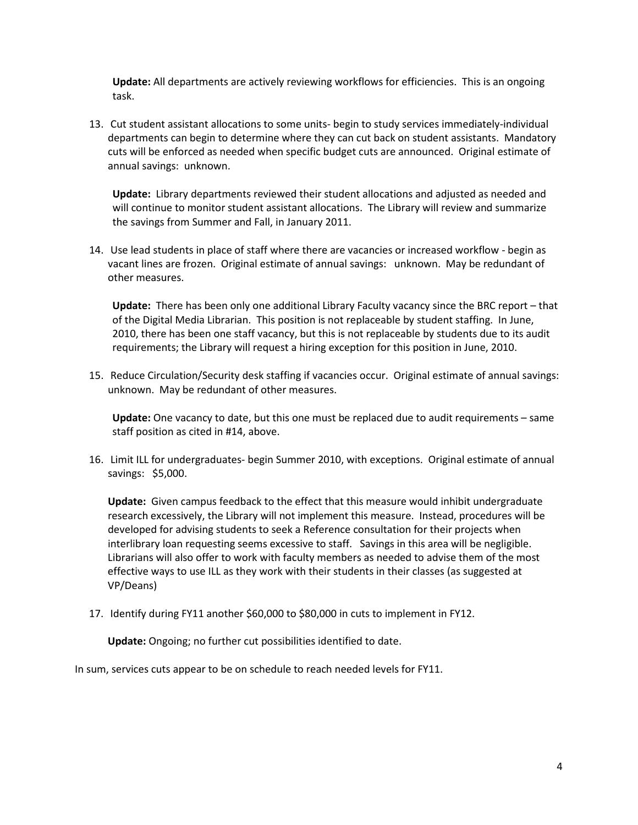**Update:** All departments are actively reviewing workflows for efficiencies. This is an ongoing task.

13. Cut student assistant allocations to some units- begin to study services immediately-individual departments can begin to determine where they can cut back on student assistants. Mandatory cuts will be enforced as needed when specific budget cuts are announced. Original estimate of annual savings: unknown.

**Update:** Library departments reviewed their student allocations and adjusted as needed and will continue to monitor student assistant allocations. The Library will review and summarize the savings from Summer and Fall, in January 2011.

14. Use lead students in place of staff where there are vacancies or increased workflow - begin as vacant lines are frozen. Original estimate of annual savings: unknown. May be redundant of other measures.

**Update:** There has been only one additional Library Faculty vacancy since the BRC report – that of the Digital Media Librarian. This position is not replaceable by student staffing. In June, 2010, there has been one staff vacancy, but this is not replaceable by students due to its audit requirements; the Library will request a hiring exception for this position in June, 2010.

15. Reduce Circulation/Security desk staffing if vacancies occur. Original estimate of annual savings: unknown. May be redundant of other measures.

**Update:** One vacancy to date, but this one must be replaced due to audit requirements – same staff position as cited in #14, above.

16. Limit ILL for undergraduates- begin Summer 2010, with exceptions. Original estimate of annual savings: \$5,000.

**Update:** Given campus feedback to the effect that this measure would inhibit undergraduate research excessively, the Library will not implement this measure. Instead, procedures will be developed for advising students to seek a Reference consultation for their projects when interlibrary loan requesting seems excessive to staff. Savings in this area will be negligible. Librarians will also offer to work with faculty members as needed to advise them of the most effective ways to use ILL as they work with their students in their classes (as suggested at VP/Deans)

17. Identify during FY11 another \$60,000 to \$80,000 in cuts to implement in FY12.

**Update:** Ongoing; no further cut possibilities identified to date.

In sum, services cuts appear to be on schedule to reach needed levels for FY11.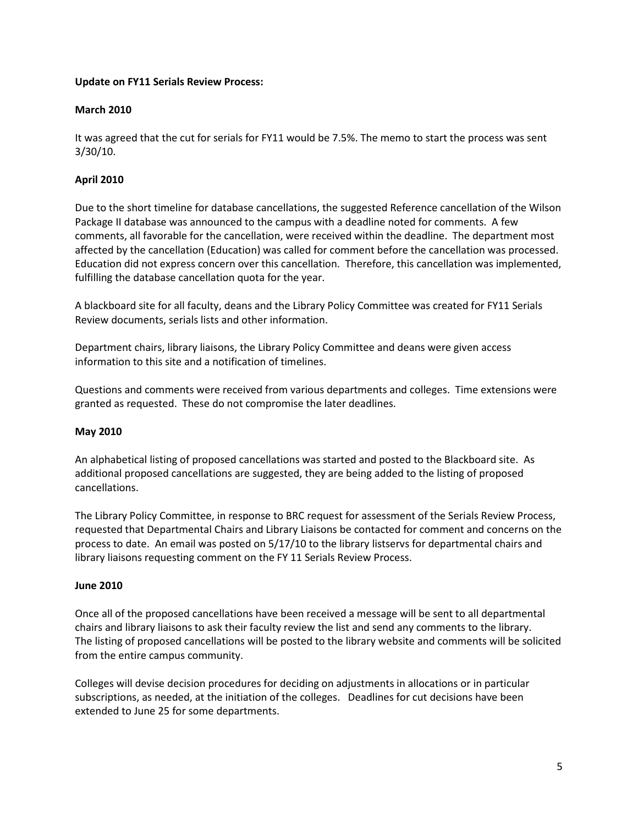## **Update on FY11 Serials Review Process:**

## **March 2010**

It was agreed that the cut for serials for FY11 would be 7.5%. The memo to start the process was sent 3/30/10.

# **April 2010**

Due to the short timeline for database cancellations, the suggested Reference cancellation of the Wilson Package II database was announced to the campus with a deadline noted for comments. A few comments, all favorable for the cancellation, were received within the deadline. The department most affected by the cancellation (Education) was called for comment before the cancellation was processed. Education did not express concern over this cancellation. Therefore, this cancellation was implemented, fulfilling the database cancellation quota for the year.

A blackboard site for all faculty, deans and the Library Policy Committee was created for FY11 Serials Review documents, serials lists and other information.

Department chairs, library liaisons, the Library Policy Committee and deans were given access information to this site and a notification of timelines.

Questions and comments were received from various departments and colleges. Time extensions were granted as requested. These do not compromise the later deadlines.

# **May 2010**

An alphabetical listing of proposed cancellations was started and posted to the Blackboard site. As additional proposed cancellations are suggested, they are being added to the listing of proposed cancellations.

The Library Policy Committee, in response to BRC request for assessment of the Serials Review Process, requested that Departmental Chairs and Library Liaisons be contacted for comment and concerns on the process to date. An email was posted on 5/17/10 to the library listservs for departmental chairs and library liaisons requesting comment on the FY 11 Serials Review Process.

## **June 2010**

Once all of the proposed cancellations have been received a message will be sent to all departmental chairs and library liaisons to ask their faculty review the list and send any comments to the library. The listing of proposed cancellations will be posted to the library website and comments will be solicited from the entire campus community.

Colleges will devise decision procedures for deciding on adjustments in allocations or in particular subscriptions, as needed, at the initiation of the colleges. Deadlines for cut decisions have been extended to June 25 for some departments.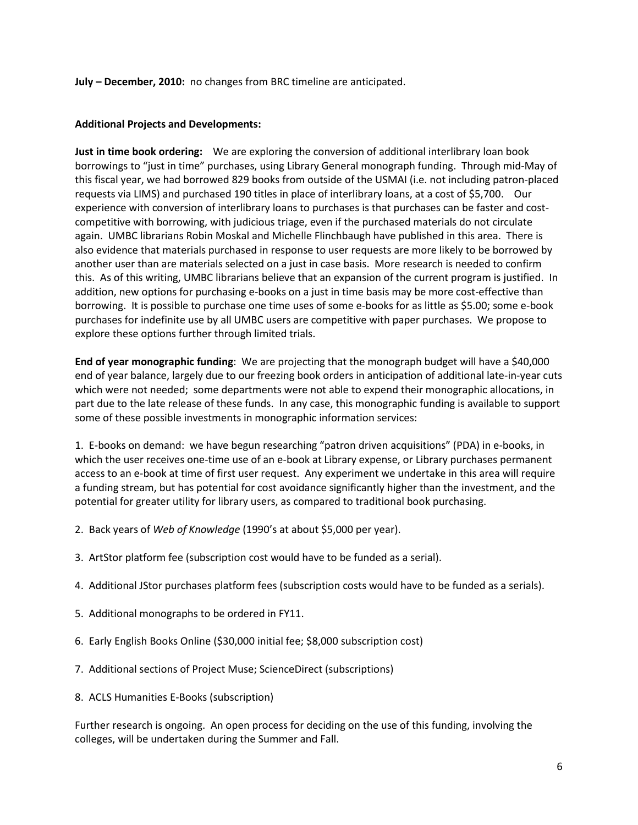**July – December, 2010:** no changes from BRC timeline are anticipated.

## **Additional Projects and Developments:**

**Just in time book ordering:** We are exploring the conversion of additional interlibrary loan book borrowings to "just in time" purchases, using Library General monograph funding. Through mid-May of this fiscal year, we had borrowed 829 books from outside of the USMAI (i.e. not including patron-placed requests via LIMS) and purchased 190 titles in place of interlibrary loans, at a cost of \$5,700. Our experience with conversion of interlibrary loans to purchases is that purchases can be faster and costcompetitive with borrowing, with judicious triage, even if the purchased materials do not circulate again. UMBC librarians Robin Moskal and Michelle Flinchbaugh have published in this area. There is also evidence that materials purchased in response to user requests are more likely to be borrowed by another user than are materials selected on a just in case basis. More research is needed to confirm this. As of this writing, UMBC librarians believe that an expansion of the current program is justified. In addition, new options for purchasing e-books on a just in time basis may be more cost-effective than borrowing. It is possible to purchase one time uses of some e-books for as little as \$5.00; some e-book purchases for indefinite use by all UMBC users are competitive with paper purchases. We propose to explore these options further through limited trials.

**End of year monographic funding**: We are projecting that the monograph budget will have a \$40,000 end of year balance, largely due to our freezing book orders in anticipation of additional late-in-year cuts which were not needed; some departments were not able to expend their monographic allocations, in part due to the late release of these funds. In any case, this monographic funding is available to support some of these possible investments in monographic information services:

1. E-books on demand: we have begun researching "patron driven acquisitions" (PDA) in e-books, in which the user receives one-time use of an e-book at Library expense, or Library purchases permanent access to an e-book at time of first user request. Any experiment we undertake in this area will require a funding stream, but has potential for cost avoidance significantly higher than the investment, and the potential for greater utility for library users, as compared to traditional book purchasing.

- 2. Back years of *Web of Knowledge* (1990's at about \$5,000 per year).
- 3. ArtStor platform fee (subscription cost would have to be funded as a serial).
- 4. Additional JStor purchases platform fees (subscription costs would have to be funded as a serials).
- 5. Additional monographs to be ordered in FY11.
- 6. Early English Books Online (\$30,000 initial fee; \$8,000 subscription cost)
- 7. Additional sections of Project Muse; ScienceDirect (subscriptions)
- 8. ACLS Humanities E-Books (subscription)

Further research is ongoing. An open process for deciding on the use of this funding, involving the colleges, will be undertaken during the Summer and Fall.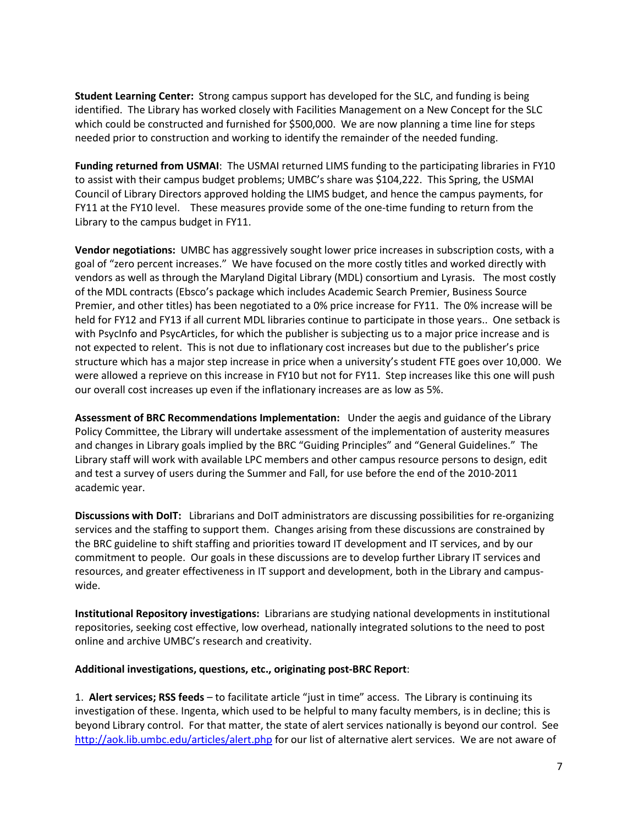**Student Learning Center:** Strong campus support has developed for the SLC, and funding is being identified. The Library has worked closely with Facilities Management on a New Concept for the SLC which could be constructed and furnished for \$500,000. We are now planning a time line for steps needed prior to construction and working to identify the remainder of the needed funding.

**Funding returned from USMAI**: The USMAI returned LIMS funding to the participating libraries in FY10 to assist with their campus budget problems; UMBC's share was \$104,222. This Spring, the USMAI Council of Library Directors approved holding the LIMS budget, and hence the campus payments, for FY11 at the FY10 level. These measures provide some of the one-time funding to return from the Library to the campus budget in FY11.

**Vendor negotiations:** UMBC has aggressively sought lower price increases in subscription costs, with a goal of "zero percent increases." We have focused on the more costly titles and worked directly with vendors as well as through the Maryland Digital Library (MDL) consortium and Lyrasis. The most costly of the MDL contracts (Ebsco's package which includes Academic Search Premier, Business Source Premier, and other titles) has been negotiated to a 0% price increase for FY11. The 0% increase will be held for FY12 and FY13 if all current MDL libraries continue to participate in those years.. One setback is with PsycInfo and PsycArticles, for which the publisher is subjecting us to a major price increase and is not expected to relent. This is not due to inflationary cost increases but due to the publisher's price structure which has a major step increase in price when a university's student FTE goes over 10,000. We were allowed a reprieve on this increase in FY10 but not for FY11. Step increases like this one will push our overall cost increases up even if the inflationary increases are as low as 5%.

**Assessment of BRC Recommendations Implementation:** Under the aegis and guidance of the Library Policy Committee, the Library will undertake assessment of the implementation of austerity measures and changes in Library goals implied by the BRC "Guiding Principles" and "General Guidelines." The Library staff will work with available LPC members and other campus resource persons to design, edit and test a survey of users during the Summer and Fall, for use before the end of the 2010-2011 academic year.

**Discussions with DoIT:** Librarians and DoIT administrators are discussing possibilities for re-organizing services and the staffing to support them. Changes arising from these discussions are constrained by the BRC guideline to shift staffing and priorities toward IT development and IT services, and by our commitment to people. Our goals in these discussions are to develop further Library IT services and resources, and greater effectiveness in IT support and development, both in the Library and campuswide.

**Institutional Repository investigations:** Librarians are studying national developments in institutional repositories, seeking cost effective, low overhead, nationally integrated solutions to the need to post online and archive UMBC's research and creativity.

## **Additional investigations, questions, etc., originating post-BRC Report**:

1. **Alert services; RSS feeds** – to facilitate article "just in time" access. The Library is continuing its investigation of these. Ingenta, which used to be helpful to many faculty members, is in decline; this is beyond Library control. For that matter, the state of alert services nationally is beyond our control. See <http://aok.lib.umbc.edu/articles/alert.php> for our list of alternative alert services. We are not aware of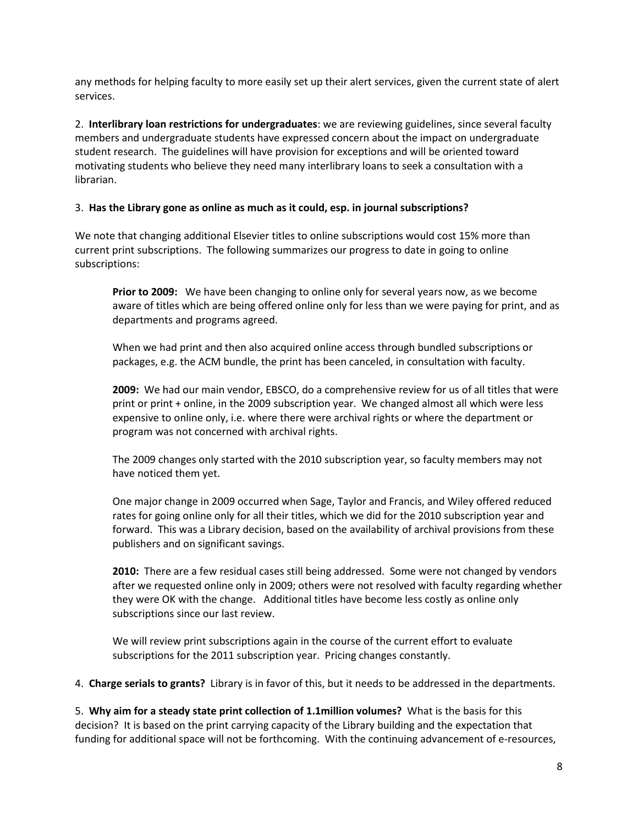any methods for helping faculty to more easily set up their alert services, given the current state of alert services.

2. **Interlibrary loan restrictions for undergraduates**: we are reviewing guidelines, since several faculty members and undergraduate students have expressed concern about the impact on undergraduate student research. The guidelines will have provision for exceptions and will be oriented toward motivating students who believe they need many interlibrary loans to seek a consultation with a librarian.

## 3. **Has the Library gone as online as much as it could, esp. in journal subscriptions?**

We note that changing additional Elsevier titles to online subscriptions would cost 15% more than current print subscriptions. The following summarizes our progress to date in going to online subscriptions:

**Prior to 2009:** We have been changing to online only for several years now, as we become aware of titles which are being offered online only for less than we were paying for print, and as departments and programs agreed.

When we had print and then also acquired online access through bundled subscriptions or packages, e.g. the ACM bundle, the print has been canceled, in consultation with faculty.

**2009:** We had our main vendor, EBSCO, do a comprehensive review for us of all titles that were print or print + online, in the 2009 subscription year. We changed almost all which were less expensive to online only, i.e. where there were archival rights or where the department or program was not concerned with archival rights.

The 2009 changes only started with the 2010 subscription year, so faculty members may not have noticed them yet.

One major change in 2009 occurred when Sage, Taylor and Francis, and Wiley offered reduced rates for going online only for all their titles, which we did for the 2010 subscription year and forward. This was a Library decision, based on the availability of archival provisions from these publishers and on significant savings.

**2010:** There are a few residual cases still being addressed. Some were not changed by vendors after we requested online only in 2009; others were not resolved with faculty regarding whether they were OK with the change. Additional titles have become less costly as online only subscriptions since our last review.

We will review print subscriptions again in the course of the current effort to evaluate subscriptions for the 2011 subscription year. Pricing changes constantly.

4. **Charge serials to grants?** Library is in favor of this, but it needs to be addressed in the departments.

5. **Why aim for a steady state print collection of 1.1million volumes?** What is the basis for this decision? It is based on the print carrying capacity of the Library building and the expectation that funding for additional space will not be forthcoming. With the continuing advancement of e-resources,